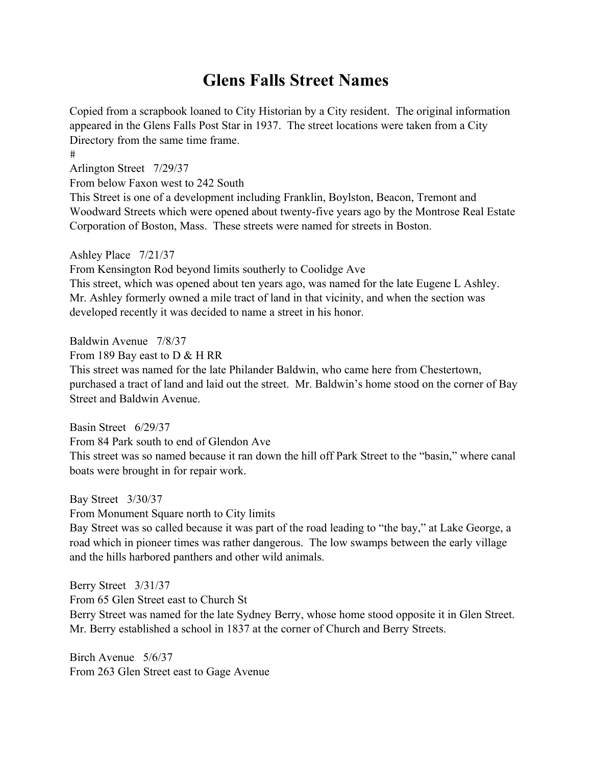# **Glens Falls Street Names**

Copied from a scrapbook loaned to City Historian by a City resident. The original information appeared in the Glens Falls Post Star in 1937. The street locations were taken from a City Directory from the same time frame.

#

Arlington Street 7/29/37

From below Faxon west to 242 South

This Street is one of a development including Franklin, Boylston, Beacon, Tremont and Woodward Streets which were opened about twenty-five years ago by the Montrose Real Estate Corporation of Boston, Mass. These streets were named for streets in Boston.

Ashley Place 7/21/37

From Kensington Rod beyond limits southerly to Coolidge Ave

This street, which was opened about ten years ago, was named for the late Eugene L Ashley. Mr. Ashley formerly owned a mile tract of land in that vicinity, and when the section was developed recently it was decided to name a street in his honor.

Baldwin Avenue 7/8/37

From 189 Bay east to D & H RR

This street was named for the late Philander Baldwin, who came here from Chestertown, purchased a tract of land and laid out the street. Mr. Baldwin's home stood on the corner of Bay Street and Baldwin Avenue.

Basin Street 6/29/37

From 84 Park south to end of Glendon Ave

This street was so named because it ran down the hill off Park Street to the "basin," where canal boats were brought in for repair work.

Bay Street 3/30/37

From Monument Square north to City limits

Bay Street was so called because it was part of the road leading to "the bay," at Lake George, a road which in pioneer times was rather dangerous. The low swamps between the early village and the hills harbored panthers and other wild animals.

Berry Street 3/31/37 From 65 Glen Street east to Church St Berry Street was named for the late Sydney Berry, whose home stood opposite it in Glen Street. Mr. Berry established a school in 1837 at the corner of Church and Berry Streets.

Birch Avenue 5/6/37 From 263 Glen Street east to Gage Avenue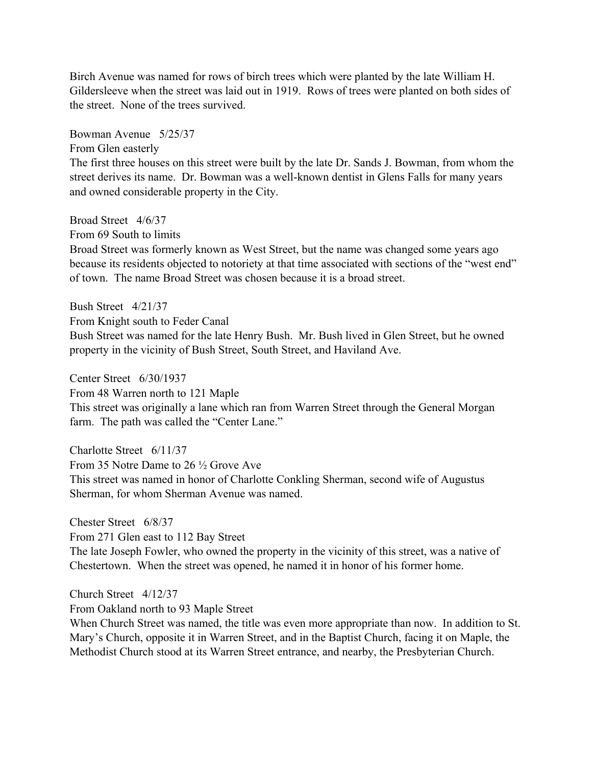Birch Avenue was named for rows of birch trees which were planted by the late William H. Gildersleeve when the street was laid out in 1919. Rows of trees were planted on both sides of the street. None of the trees survived.

Bowman Avenue 5/25/37

From Glen easterly

The first three houses on this street were built by the late Dr. Sands J. Bowman, from whom the street derives its name. Dr. Bowman was a well-known dentist in Glens Falls for many years and owned considerable property in the City.

Broad Street 4/6/37

From 69 South to limits

Broad Street was formerly known as West Street, but the name was changed some years ago because its residents objected to notoriety at that time associated with sections of the "west end" of town. The name Broad Street was chosen because it is a broad street.

Bush Street 4/21/37 From Knight south to Feder Canal Bush Street was named for the late Henry Bush. Mr. Bush lived in Glen Street, but he owned property in the vicinity of Bush Street, South Street, and Haviland Ave.

Center Street 6/30/1937 From 48 Warren north to 121 Maple This street was originally a lane which ran from Warren Street through the General Morgan farm. The path was called the "Center Lane."

Charlotte Street 6/11/37 From 35 Notre Dame to 26 ½ Grove Ave This street was named in honor of Charlotte Conkling Sherman, second wife of Augustus Sherman, for whom Sherman Avenue was named.

Chester Street 6/8/37 From 271 Glen east to 112 Bay Street The late Joseph Fowler, who owned the property in the vicinity of this street, was a native of Chestertown. When the street was opened, he named it in honor of his former home.

Church Street 4/12/37

From Oakland north to 93 Maple Street

When Church Street was named, the title was even more appropriate than now. In addition to St. Mary's Church, opposite it in Warren Street, and in the Baptist Church, facing it on Maple, the Methodist Church stood at its Warren Street entrance, and nearby, the Presbyterian Church.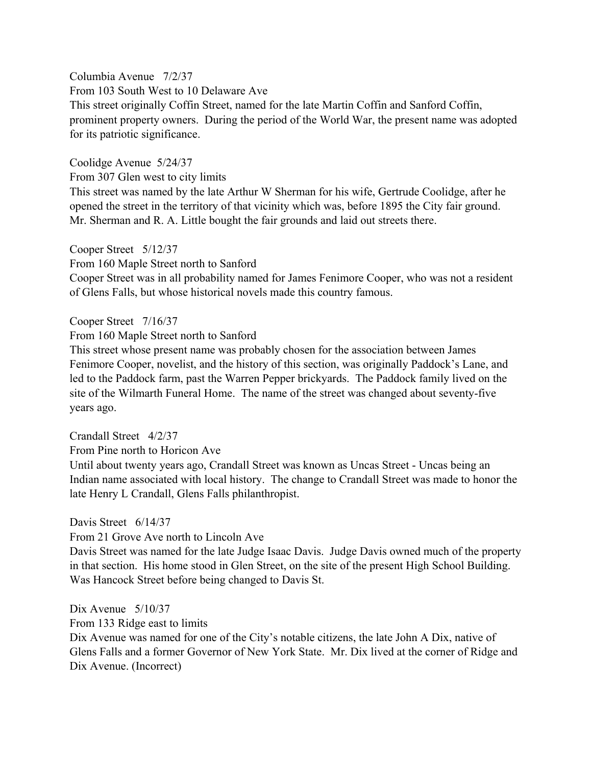Columbia Avenue 7/2/37 From 103 South West to 10 Delaware Ave This street originally Coffin Street, named for the late Martin Coffin and Sanford Coffin, prominent property owners. During the period of the World War, the present name was adopted for its patriotic significance.

Coolidge Avenue 5/24/37

From 307 Glen west to city limits

This street was named by the late Arthur W Sherman for his wife, Gertrude Coolidge, after he opened the street in the territory of that vicinity which was, before 1895 the City fair ground. Mr. Sherman and R. A. Little bought the fair grounds and laid out streets there.

Cooper Street 5/12/37 From 160 Maple Street north to Sanford

Cooper Street was in all probability named for James Fenimore Cooper, who was not a resident of Glens Falls, but whose historical novels made this country famous.

### Cooper Street 7/16/37

From 160 Maple Street north to Sanford

This street whose present name was probably chosen for the association between James Fenimore Cooper, novelist, and the history of this section, was originally Paddock's Lane, and led to the Paddock farm, past the Warren Pepper brickyards. The Paddock family lived on the site of the Wilmarth Funeral Home. The name of the street was changed about seventy-five years ago.

Crandall Street 4/2/37

From Pine north to Horicon Ave

Until about twenty years ago, Crandall Street was known as Uncas Street - Uncas being an Indian name associated with local history. The change to Crandall Street was made to honor the late Henry L Crandall, Glens Falls philanthropist.

Davis Street 6/14/37

From 21 Grove Ave north to Lincoln Ave

Davis Street was named for the late Judge Isaac Davis. Judge Davis owned much of the property in that section. His home stood in Glen Street, on the site of the present High School Building. Was Hancock Street before being changed to Davis St.

Dix Avenue 5/10/37

From 133 Ridge east to limits

Dix Avenue was named for one of the City's notable citizens, the late John A Dix, native of Glens Falls and a former Governor of New York State. Mr. Dix lived at the corner of Ridge and Dix Avenue. (Incorrect)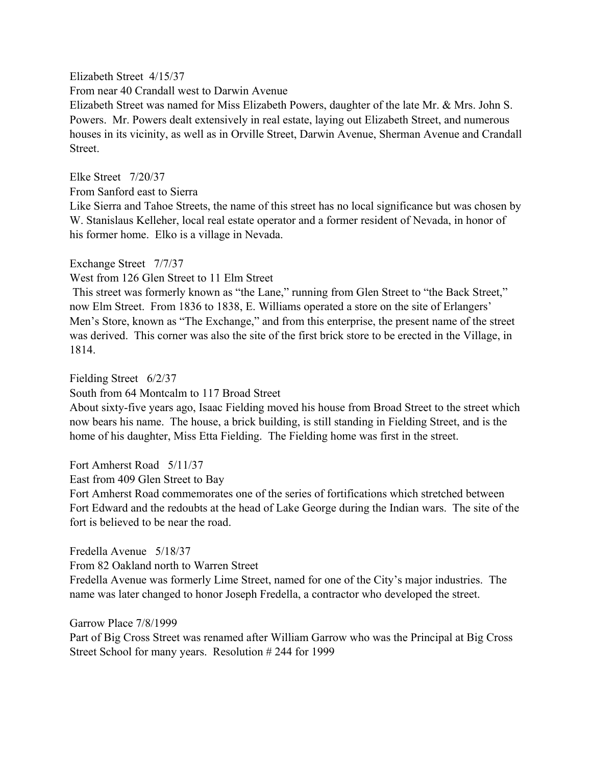### Elizabeth Street 4/15/37

From near 40 Crandall west to Darwin Avenue

Elizabeth Street was named for Miss Elizabeth Powers, daughter of the late Mr. & Mrs. John S. Powers. Mr. Powers dealt extensively in real estate, laying out Elizabeth Street, and numerous houses in its vicinity, as well as in Orville Street, Darwin Avenue, Sherman Avenue and Crandall Street.

Elke Street 7/20/37

From Sanford east to Sierra

Like Sierra and Tahoe Streets, the name of this street has no local significance but was chosen by W. Stanislaus Kelleher, local real estate operator and a former resident of Nevada, in honor of his former home. Elko is a village in Nevada.

# Exchange Street 7/7/37

West from 126 Glen Street to 11 Elm Street

 This street was formerly known as "the Lane," running from Glen Street to "the Back Street," now Elm Street. From 1836 to 1838, E. Williams operated a store on the site of Erlangers' Men's Store, known as "The Exchange," and from this enterprise, the present name of the street was derived. This corner was also the site of the first brick store to be erected in the Village, in 1814.

# Fielding Street 6/2/37

South from 64 Montcalm to 117 Broad Street

About sixty-five years ago, Isaac Fielding moved his house from Broad Street to the street which now bears his name. The house, a brick building, is still standing in Fielding Street, and is the home of his daughter, Miss Etta Fielding. The Fielding home was first in the street.

Fort Amherst Road 5/11/37

East from 409 Glen Street to Bay

Fort Amherst Road commemorates one of the series of fortifications which stretched between Fort Edward and the redoubts at the head of Lake George during the Indian wars. The site of the fort is believed to be near the road.

Fredella Avenue 5/18/37

From 82 Oakland north to Warren Street

Fredella Avenue was formerly Lime Street, named for one of the City's major industries. The name was later changed to honor Joseph Fredella, a contractor who developed the street.

Garrow Place 7/8/1999

Part of Big Cross Street was renamed after William Garrow who was the Principal at Big Cross Street School for many years. Resolution # 244 for 1999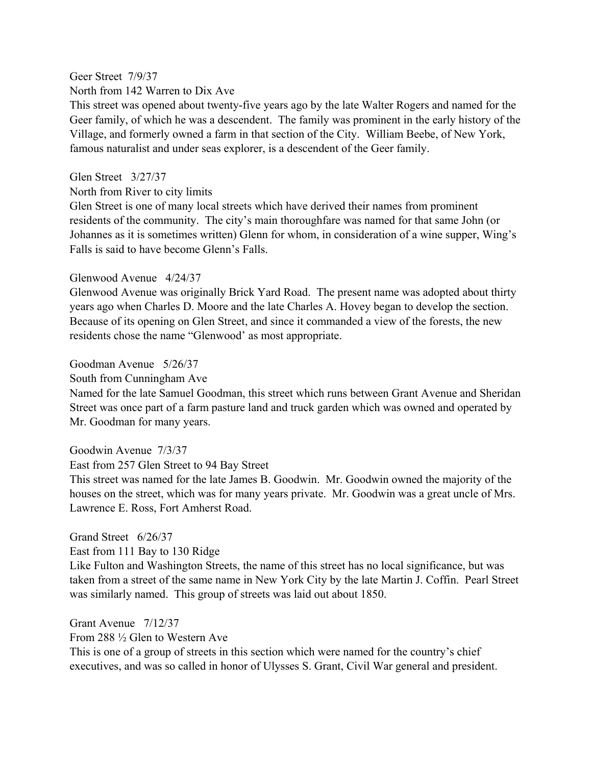Geer Street 7/9/37 North from 142 Warren to Dix Ave

This street was opened about twenty-five years ago by the late Walter Rogers and named for the Geer family, of which he was a descendent. The family was prominent in the early history of the Village, and formerly owned a farm in that section of the City. William Beebe, of New York, famous naturalist and under seas explorer, is a descendent of the Geer family.

### Glen Street 3/27/37

North from River to city limits

Glen Street is one of many local streets which have derived their names from prominent residents of the community. The city's main thoroughfare was named for that same John (or Johannes as it is sometimes written) Glenn for whom, in consideration of a wine supper, Wing's Falls is said to have become Glenn's Falls.

### Glenwood Avenue 4/24/37

Glenwood Avenue was originally Brick Yard Road. The present name was adopted about thirty years ago when Charles D. Moore and the late Charles A. Hovey began to develop the section. Because of its opening on Glen Street, and since it commanded a view of the forests, the new residents chose the name "Glenwood' as most appropriate.

### Goodman Avenue 5/26/37

South from Cunningham Ave

Named for the late Samuel Goodman, this street which runs between Grant Avenue and Sheridan Street was once part of a farm pasture land and truck garden which was owned and operated by Mr. Goodman for many years.

#### Goodwin Avenue 7/3/37

East from 257 Glen Street to 94 Bay Street

This street was named for the late James B. Goodwin. Mr. Goodwin owned the majority of the houses on the street, which was for many years private. Mr. Goodwin was a great uncle of Mrs. Lawrence E. Ross, Fort Amherst Road.

### Grand Street 6/26/37

East from 111 Bay to 130 Ridge

Like Fulton and Washington Streets, the name of this street has no local significance, but was taken from a street of the same name in New York City by the late Martin J. Coffin. Pearl Street was similarly named. This group of streets was laid out about 1850.

Grant Avenue 7/12/37

From 288 ½ Glen to Western Ave

This is one of a group of streets in this section which were named for the country's chief executives, and was so called in honor of Ulysses S. Grant, Civil War general and president.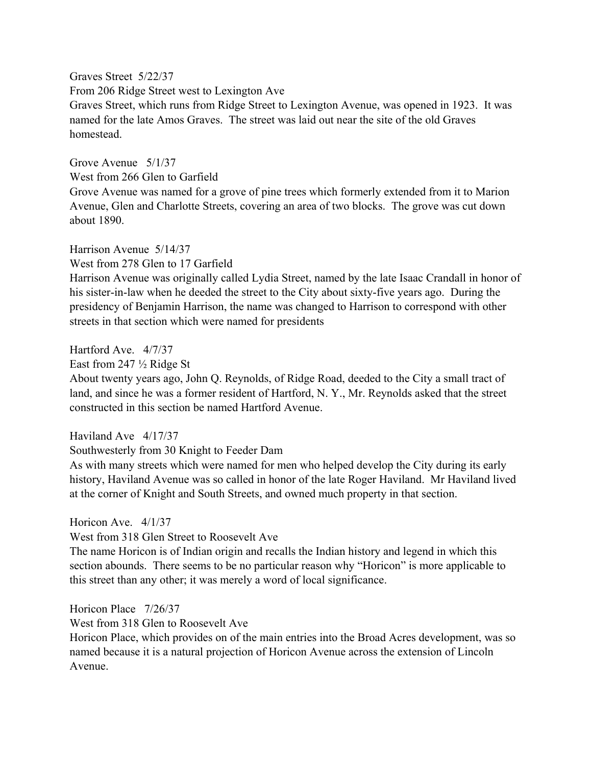Graves Street 5/22/37

From 206 Ridge Street west to Lexington Ave

Graves Street, which runs from Ridge Street to Lexington Avenue, was opened in 1923. It was named for the late Amos Graves. The street was laid out near the site of the old Graves homestead.

Grove Avenue 5/1/37

West from 266 Glen to Garfield

Grove Avenue was named for a grove of pine trees which formerly extended from it to Marion Avenue, Glen and Charlotte Streets, covering an area of two blocks. The grove was cut down about 1890.

Harrison Avenue 5/14/37

West from 278 Glen to 17 Garfield

Harrison Avenue was originally called Lydia Street, named by the late Isaac Crandall in honor of his sister-in-law when he deeded the street to the City about sixty-five years ago. During the presidency of Benjamin Harrison, the name was changed to Harrison to correspond with other streets in that section which were named for presidents

Hartford Ave. 4/7/37

East from 247 ½ Ridge St

About twenty years ago, John Q. Reynolds, of Ridge Road, deeded to the City a small tract of land, and since he was a former resident of Hartford, N. Y., Mr. Reynolds asked that the street constructed in this section be named Hartford Avenue.

Haviland Ave 4/17/37

Southwesterly from 30 Knight to Feeder Dam

As with many streets which were named for men who helped develop the City during its early history, Haviland Avenue was so called in honor of the late Roger Haviland. Mr Haviland lived at the corner of Knight and South Streets, and owned much property in that section.

Horicon Ave. 4/1/37

West from 318 Glen Street to Roosevelt Ave

The name Horicon is of Indian origin and recalls the Indian history and legend in which this section abounds. There seems to be no particular reason why "Horicon" is more applicable to this street than any other; it was merely a word of local significance.

Horicon Place 7/26/37

West from 318 Glen to Roosevelt Ave

Horicon Place, which provides on of the main entries into the Broad Acres development, was so named because it is a natural projection of Horicon Avenue across the extension of Lincoln Avenue.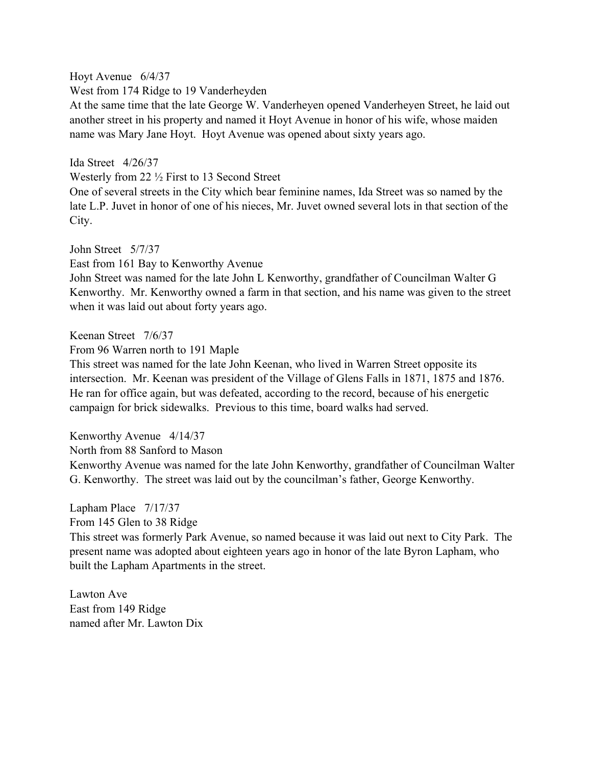Hoyt Avenue 6/4/37

West from 174 Ridge to 19 Vanderheyden

At the same time that the late George W. Vanderheyen opened Vanderheyen Street, he laid out another street in his property and named it Hoyt Avenue in honor of his wife, whose maiden name was Mary Jane Hoyt. Hoyt Avenue was opened about sixty years ago.

Ida Street 4/26/37

Westerly from 22 ½ First to 13 Second Street

One of several streets in the City which bear feminine names, Ida Street was so named by the late L.P. Juvet in honor of one of his nieces, Mr. Juvet owned several lots in that section of the City.

John Street 5/7/37 East from 161 Bay to Kenworthy Avenue John Street was named for the late John L Kenworthy, grandfather of Councilman Walter G Kenworthy. Mr. Kenworthy owned a farm in that section, and his name was given to the street when it was laid out about forty years ago.

Keenan Street 7/6/37

From 96 Warren north to 191 Maple

This street was named for the late John Keenan, who lived in Warren Street opposite its intersection. Mr. Keenan was president of the Village of Glens Falls in 1871, 1875 and 1876. He ran for office again, but was defeated, according to the record, because of his energetic campaign for brick sidewalks. Previous to this time, board walks had served.

Kenworthy Avenue 4/14/37 North from 88 Sanford to Mason Kenworthy Avenue was named for the late John Kenworthy, grandfather of Councilman Walter G. Kenworthy. The street was laid out by the councilman's father, George Kenworthy.

Lapham Place 7/17/37 From 145 Glen to 38 Ridge This street was formerly Park Avenue, so named because it was laid out next to City Park. The present name was adopted about eighteen years ago in honor of the late Byron Lapham, who built the Lapham Apartments in the street.

Lawton Ave East from 149 Ridge named after Mr. Lawton Dix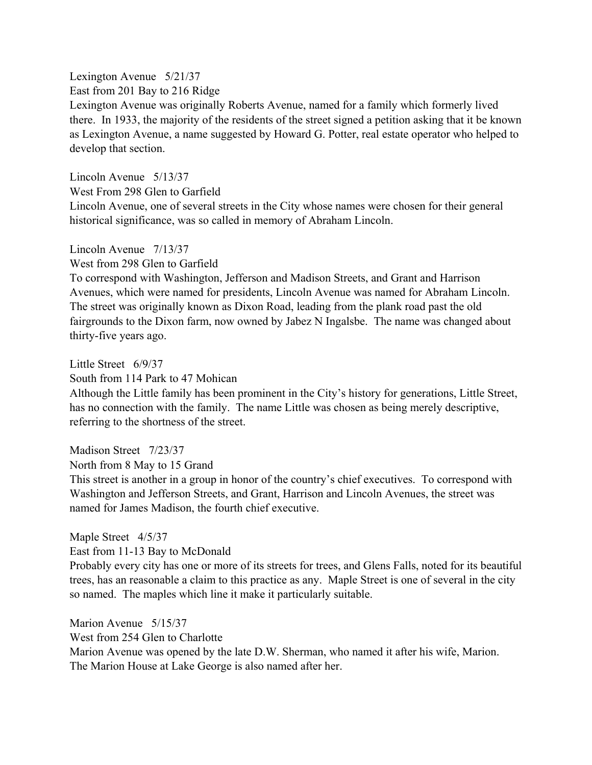Lexington Avenue 5/21/37

East from 201 Bay to 216 Ridge

Lexington Avenue was originally Roberts Avenue, named for a family which formerly lived there. In 1933, the majority of the residents of the street signed a petition asking that it be known as Lexington Avenue, a name suggested by Howard G. Potter, real estate operator who helped to develop that section.

Lincoln Avenue 5/13/37

West From 298 Glen to Garfield

Lincoln Avenue, one of several streets in the City whose names were chosen for their general historical significance, was so called in memory of Abraham Lincoln.

Lincoln Avenue 7/13/37

West from 298 Glen to Garfield

To correspond with Washington, Jefferson and Madison Streets, and Grant and Harrison Avenues, which were named for presidents, Lincoln Avenue was named for Abraham Lincoln. The street was originally known as Dixon Road, leading from the plank road past the old fairgrounds to the Dixon farm, now owned by Jabez N Ingalsbe. The name was changed about thirty-five years ago.

Little Street 6/9/37

South from 114 Park to 47 Mohican

Although the Little family has been prominent in the City's history for generations, Little Street, has no connection with the family. The name Little was chosen as being merely descriptive, referring to the shortness of the street.

Madison Street 7/23/37

North from 8 May to 15 Grand

This street is another in a group in honor of the country's chief executives. To correspond with Washington and Jefferson Streets, and Grant, Harrison and Lincoln Avenues, the street was named for James Madison, the fourth chief executive.

Maple Street 4/5/37

East from 11-13 Bay to McDonald

Probably every city has one or more of its streets for trees, and Glens Falls, noted for its beautiful trees, has an reasonable a claim to this practice as any. Maple Street is one of several in the city so named. The maples which line it make it particularly suitable.

Marion Avenue 5/15/37

West from 254 Glen to Charlotte

Marion Avenue was opened by the late D.W. Sherman, who named it after his wife, Marion. The Marion House at Lake George is also named after her.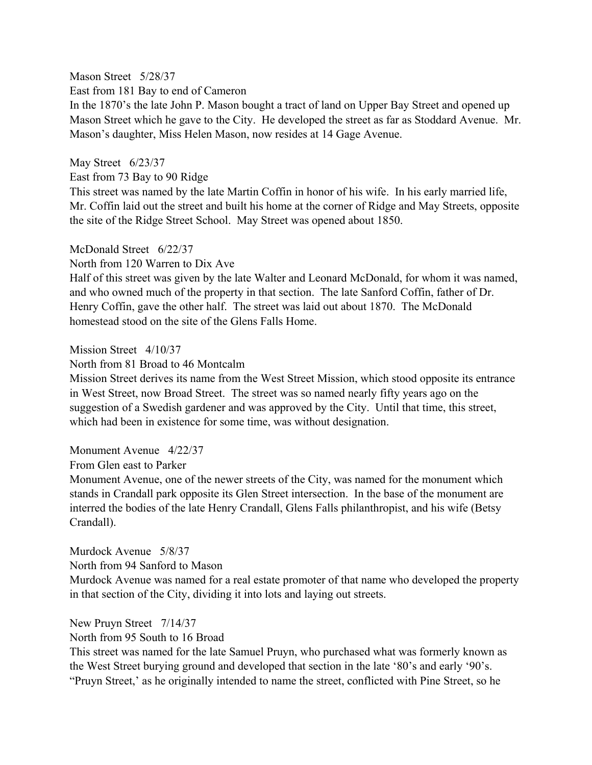Mason Street 5/28/37 East from 181 Bay to end of Cameron

In the 1870's the late John P. Mason bought a tract of land on Upper Bay Street and opened up Mason Street which he gave to the City. He developed the street as far as Stoddard Avenue. Mr. Mason's daughter, Miss Helen Mason, now resides at 14 Gage Avenue.

May Street 6/23/37

East from 73 Bay to 90 Ridge

This street was named by the late Martin Coffin in honor of his wife. In his early married life, Mr. Coffin laid out the street and built his home at the corner of Ridge and May Streets, opposite the site of the Ridge Street School. May Street was opened about 1850.

McDonald Street 6/22/37

North from 120 Warren to Dix Ave

Half of this street was given by the late Walter and Leonard McDonald, for whom it was named, and who owned much of the property in that section. The late Sanford Coffin, father of Dr. Henry Coffin, gave the other half. The street was laid out about 1870. The McDonald homestead stood on the site of the Glens Falls Home.

### Mission Street 4/10/37

North from 81 Broad to 46 Montcalm

Mission Street derives its name from the West Street Mission, which stood opposite its entrance in West Street, now Broad Street. The street was so named nearly fifty years ago on the suggestion of a Swedish gardener and was approved by the City. Until that time, this street, which had been in existence for some time, was without designation.

### Monument Avenue 4/22/37

From Glen east to Parker

Monument Avenue, one of the newer streets of the City, was named for the monument which stands in Crandall park opposite its Glen Street intersection. In the base of the monument are interred the bodies of the late Henry Crandall, Glens Falls philanthropist, and his wife (Betsy Crandall).

# Murdock Avenue 5/8/37

North from 94 Sanford to Mason

Murdock Avenue was named for a real estate promoter of that name who developed the property in that section of the City, dividing it into lots and laying out streets.

# New Pruyn Street 7/14/37

North from 95 South to 16 Broad

This street was named for the late Samuel Pruyn, who purchased what was formerly known as the West Street burying ground and developed that section in the late '80's and early '90's. "Pruyn Street,' as he originally intended to name the street, conflicted with Pine Street, so he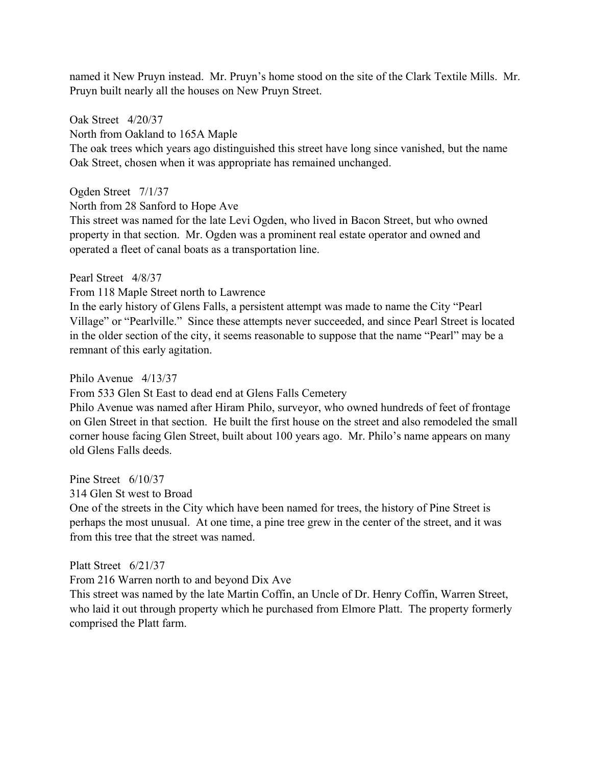named it New Pruyn instead. Mr. Pruyn's home stood on the site of the Clark Textile Mills. Mr. Pruyn built nearly all the houses on New Pruyn Street.

Oak Street 4/20/37

North from Oakland to 165A Maple

The oak trees which years ago distinguished this street have long since vanished, but the name Oak Street, chosen when it was appropriate has remained unchanged.

# Ogden Street 7/1/37

North from 28 Sanford to Hope Ave

This street was named for the late Levi Ogden, who lived in Bacon Street, but who owned property in that section. Mr. Ogden was a prominent real estate operator and owned and operated a fleet of canal boats as a transportation line.

Pearl Street 4/8/37

From 118 Maple Street north to Lawrence

In the early history of Glens Falls, a persistent attempt was made to name the City "Pearl Village" or "Pearlville." Since these attempts never succeeded, and since Pearl Street is located in the older section of the city, it seems reasonable to suppose that the name "Pearl" may be a remnant of this early agitation.

Philo Avenue 4/13/37

From 533 Glen St East to dead end at Glens Falls Cemetery

Philo Avenue was named after Hiram Philo, surveyor, who owned hundreds of feet of frontage on Glen Street in that section. He built the first house on the street and also remodeled the small corner house facing Glen Street, built about 100 years ago. Mr. Philo's name appears on many old Glens Falls deeds.

Pine Street 6/10/37

314 Glen St west to Broad

One of the streets in the City which have been named for trees, the history of Pine Street is perhaps the most unusual. At one time, a pine tree grew in the center of the street, and it was from this tree that the street was named.

Platt Street 6/21/37

From 216 Warren north to and beyond Dix Ave

This street was named by the late Martin Coffin, an Uncle of Dr. Henry Coffin, Warren Street, who laid it out through property which he purchased from Elmore Platt. The property formerly comprised the Platt farm.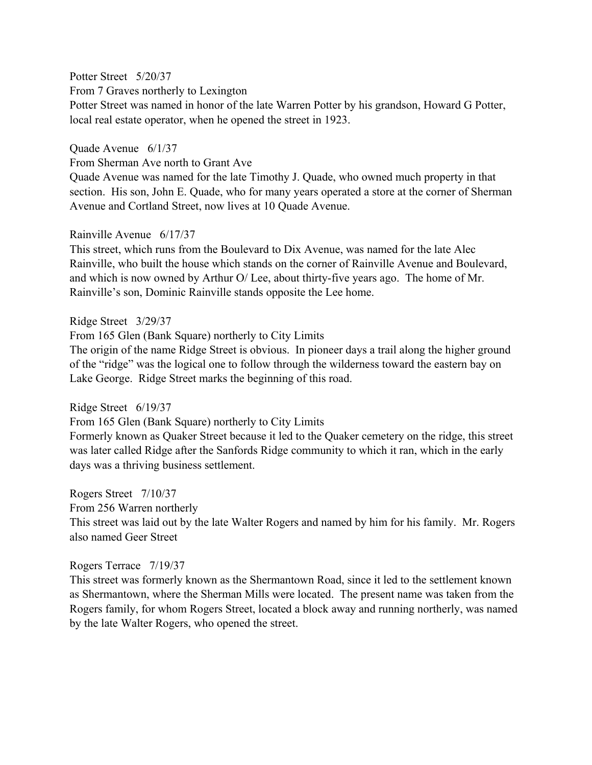Potter Street 5/20/37

From 7 Graves northerly to Lexington

Potter Street was named in honor of the late Warren Potter by his grandson, Howard G Potter, local real estate operator, when he opened the street in 1923.

### Quade Avenue 6/1/37

From Sherman Ave north to Grant Ave

Quade Avenue was named for the late Timothy J. Quade, who owned much property in that section. His son, John E. Quade, who for many years operated a store at the corner of Sherman Avenue and Cortland Street, now lives at 10 Quade Avenue.

# Rainville Avenue 6/17/37

This street, which runs from the Boulevard to Dix Avenue, was named for the late Alec Rainville, who built the house which stands on the corner of Rainville Avenue and Boulevard, and which is now owned by Arthur O/ Lee, about thirty-five years ago. The home of Mr. Rainville's son, Dominic Rainville stands opposite the Lee home.

# Ridge Street 3/29/37

From 165 Glen (Bank Square) northerly to City Limits

The origin of the name Ridge Street is obvious. In pioneer days a trail along the higher ground of the "ridge" was the logical one to follow through the wilderness toward the eastern bay on Lake George. Ridge Street marks the beginning of this road.

### Ridge Street 6/19/37

From 165 Glen (Bank Square) northerly to City Limits

Formerly known as Quaker Street because it led to the Quaker cemetery on the ridge, this street was later called Ridge after the Sanfords Ridge community to which it ran, which in the early days was a thriving business settlement.

Rogers Street 7/10/37

From 256 Warren northerly

This street was laid out by the late Walter Rogers and named by him for his family. Mr. Rogers also named Geer Street

# Rogers Terrace 7/19/37

This street was formerly known as the Shermantown Road, since it led to the settlement known as Shermantown, where the Sherman Mills were located. The present name was taken from the Rogers family, for whom Rogers Street, located a block away and running northerly, was named by the late Walter Rogers, who opened the street.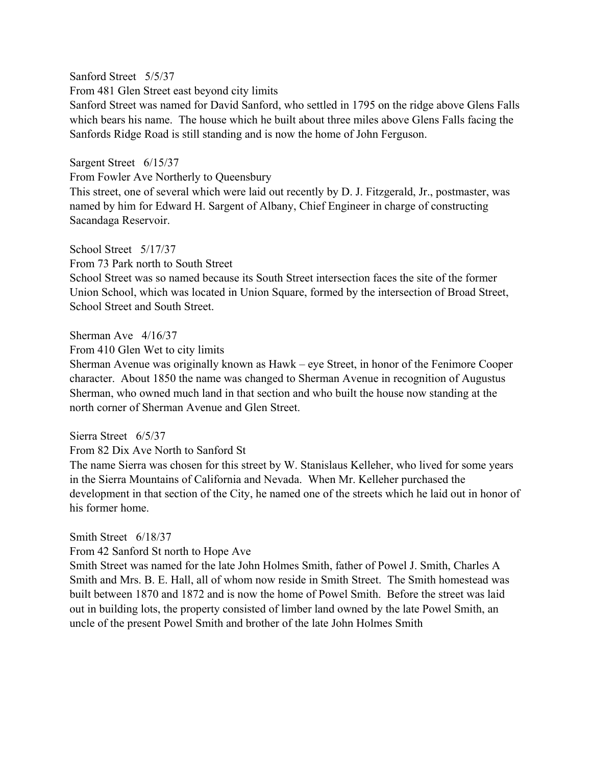Sanford Street 5/5/37

From 481 Glen Street east beyond city limits

Sanford Street was named for David Sanford, who settled in 1795 on the ridge above Glens Falls which bears his name. The house which he built about three miles above Glens Falls facing the Sanfords Ridge Road is still standing and is now the home of John Ferguson.

Sargent Street 6/15/37

From Fowler Ave Northerly to Queensbury

This street, one of several which were laid out recently by D. J. Fitzgerald, Jr., postmaster, was named by him for Edward H. Sargent of Albany, Chief Engineer in charge of constructing Sacandaga Reservoir.

School Street 5/17/37

From 73 Park north to South Street

School Street was so named because its South Street intersection faces the site of the former Union School, which was located in Union Square, formed by the intersection of Broad Street, School Street and South Street.

Sherman Ave 4/16/37

From 410 Glen Wet to city limits

Sherman Avenue was originally known as Hawk – eye Street, in honor of the Fenimore Cooper character. About 1850 the name was changed to Sherman Avenue in recognition of Augustus Sherman, who owned much land in that section and who built the house now standing at the north corner of Sherman Avenue and Glen Street.

Sierra Street 6/5/37

From 82 Dix Ave North to Sanford St

The name Sierra was chosen for this street by W. Stanislaus Kelleher, who lived for some years in the Sierra Mountains of California and Nevada. When Mr. Kelleher purchased the development in that section of the City, he named one of the streets which he laid out in honor of his former home.

### Smith Street 6/18/37

From 42 Sanford St north to Hope Ave

Smith Street was named for the late John Holmes Smith, father of Powel J. Smith, Charles A Smith and Mrs. B. E. Hall, all of whom now reside in Smith Street. The Smith homestead was built between 1870 and 1872 and is now the home of Powel Smith. Before the street was laid out in building lots, the property consisted of limber land owned by the late Powel Smith, an uncle of the present Powel Smith and brother of the late John Holmes Smith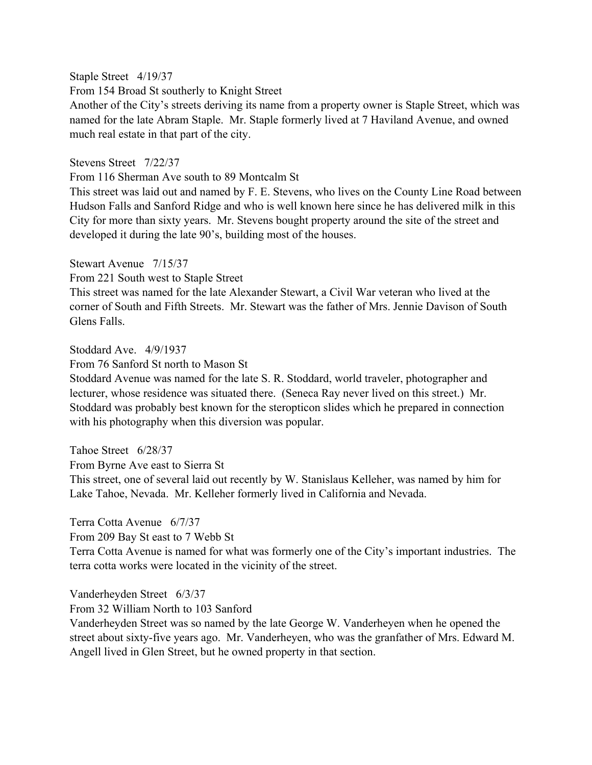Staple Street 4/19/37

From 154 Broad St southerly to Knight Street

Another of the City's streets deriving its name from a property owner is Staple Street, which was named for the late Abram Staple. Mr. Staple formerly lived at 7 Haviland Avenue, and owned much real estate in that part of the city.

Stevens Street 7/22/37

From 116 Sherman Ave south to 89 Montcalm St

This street was laid out and named by F. E. Stevens, who lives on the County Line Road between Hudson Falls and Sanford Ridge and who is well known here since he has delivered milk in this City for more than sixty years. Mr. Stevens bought property around the site of the street and developed it during the late 90's, building most of the houses.

Stewart Avenue 7/15/37

From 221 South west to Staple Street

This street was named for the late Alexander Stewart, a Civil War veteran who lived at the corner of South and Fifth Streets. Mr. Stewart was the father of Mrs. Jennie Davison of South Glens Falls.

### Stoddard Ave. 4/9/1937

From 76 Sanford St north to Mason St

Stoddard Avenue was named for the late S. R. Stoddard, world traveler, photographer and lecturer, whose residence was situated there. (Seneca Ray never lived on this street.) Mr. Stoddard was probably best known for the steropticon slides which he prepared in connection with his photography when this diversion was popular.

Tahoe Street 6/28/37

From Byrne Ave east to Sierra St

This street, one of several laid out recently by W. Stanislaus Kelleher, was named by him for Lake Tahoe, Nevada. Mr. Kelleher formerly lived in California and Nevada.

Terra Cotta Avenue 6/7/37

From 209 Bay St east to 7 Webb St

Terra Cotta Avenue is named for what was formerly one of the City's important industries. The terra cotta works were located in the vicinity of the street.

Vanderheyden Street 6/3/37

From 32 William North to 103 Sanford

Vanderheyden Street was so named by the late George W. Vanderheyen when he opened the street about sixty-five years ago. Mr. Vanderheyen, who was the granfather of Mrs. Edward M. Angell lived in Glen Street, but he owned property in that section.